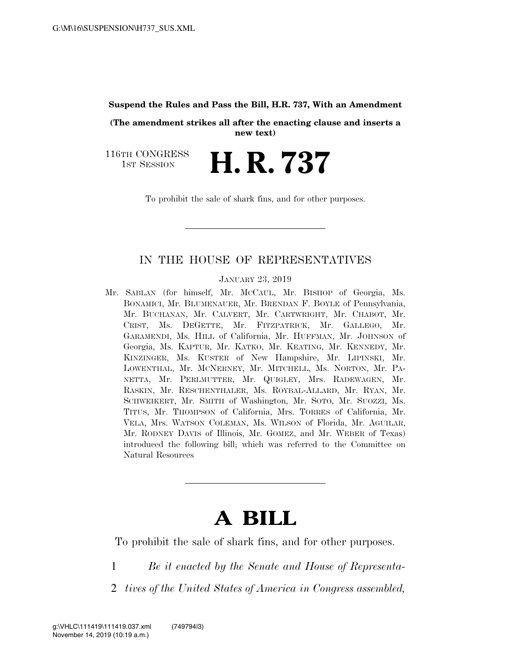#### **Suspend the Rules and Pass the Bill, H.R. 737, With an Amendment**

**(The amendment strikes all after the enacting clause and inserts a new text)** 

116TH CONGRESS TH CONGRESS **H. R. 737** 

To prohibit the sale of shark fins, and for other purposes.

### IN THE HOUSE OF REPRESENTATIVES

JANUARY 23, 2019

Mr. SABLAN (for himself, Mr. MCCAUL, Mr. BISHOP of Georgia, Ms. BONAMICI, Mr. BLUMENAUER, Mr. BRENDAN F. BOYLE of Pennsylvania, Mr. BUCHANAN, Mr. CALVERT, Mr. CARTWRIGHT, Mr. CHABOT, Mr. CRIST, Ms. DEGETTE, Mr. FITZPATRICK, Mr. GALLEGO, Mr. GARAMENDI, Ms. HILL of California, Mr. HUFFMAN, Mr. JOHNSON of Georgia, Ms. KAPTUR, Mr. KATKO, Mr. KEATING, Mr. KENNEDY, Mr. KINZINGER, Ms. KUSTER of New Hampshire, Mr. LIPINSKI, Mr. LOWENTHAL, Mr. MCNERNEY, Mr. MITCHELL, Ms. NORTON, Mr. PA-NETTA, Mr. PERLMUTTER, Mr. QUIGLEY, Mrs. RADEWAGEN, Mr. RASKIN, Mr. RESCHENTHALER, Ms. ROYBAL-ALLARD, Mr. RYAN, Mr. SCHWEIKERT, Mr. SMITH of Washington, Mr. SOTO, Mr. SUOZZI, Ms. TITUS, Mr. THOMPSON of California, Mrs. TORRES of California, Mr. VELA, Mrs. WATSON COLEMAN, Ms. WILSON of Florida, Mr. AGUILAR, Mr. RODNEY DAVIS of Illinois, Mr. GOMEZ, and Mr. WEBER of Texas) introduced the following bill; which was referred to the Committee on Natural Resources

# **A BILL**

To prohibit the sale of shark fins, and for other purposes.

- 1 *Be it enacted by the Senate and House of Representa-*
- 2 *tives of the United States of America in Congress assembled,*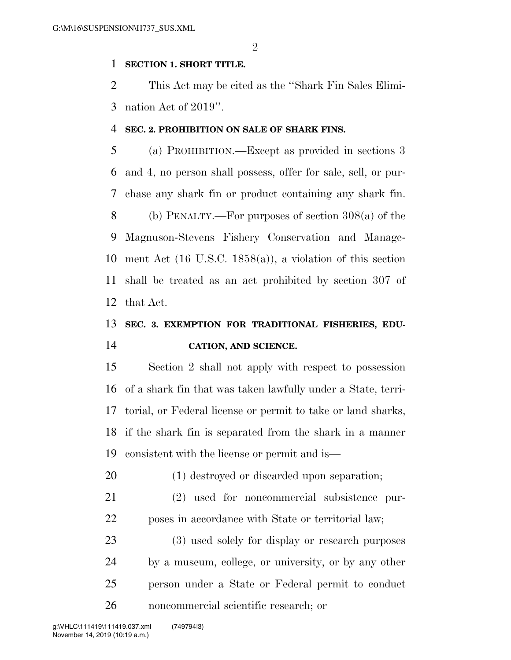$\mathfrak{D}$ 

### **SECTION 1. SHORT TITLE.**

 This Act may be cited as the ''Shark Fin Sales Elimi-nation Act of 2019''.

### **SEC. 2. PROHIBITION ON SALE OF SHARK FINS.**

 (a) PROHIBITION.—Except as provided in sections 3 and 4, no person shall possess, offer for sale, sell, or pur- chase any shark fin or product containing any shark fin. (b) PENALTY.—For purposes of section 308(a) of the Magnuson-Stevens Fishery Conservation and Manage- ment Act (16 U.S.C. 1858(a)), a violation of this section shall be treated as an act prohibited by section 307 of that Act.

## **SEC. 3. EXEMPTION FOR TRADITIONAL FISHERIES, EDU-CATION, AND SCIENCE.**

 Section 2 shall not apply with respect to possession of a shark fin that was taken lawfully under a State, terri- torial, or Federal license or permit to take or land sharks, if the shark fin is separated from the shark in a manner consistent with the license or permit and is—

(1) destroyed or discarded upon separation;

 (2) used for noncommercial subsistence pur-poses in accordance with State or territorial law;

 (3) used solely for display or research purposes by a museum, college, or university, or by any other person under a State or Federal permit to conduct noncommercial scientific research; or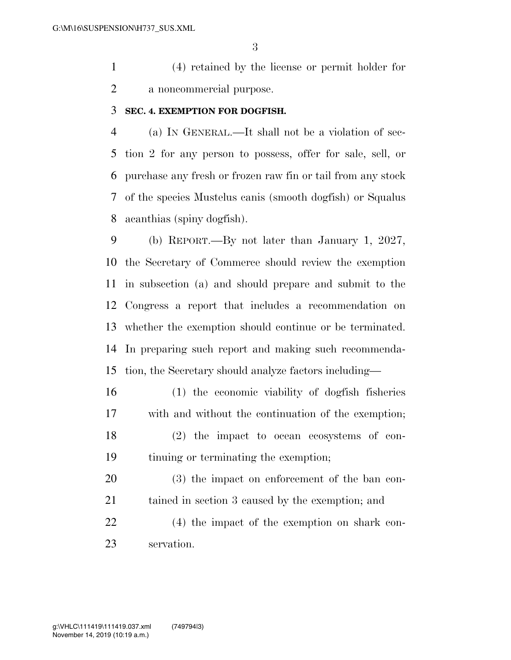(4) retained by the license or permit holder for a noncommercial purpose.

### **SEC. 4. EXEMPTION FOR DOGFISH.**

 (a) IN GENERAL.—It shall not be a violation of sec- tion 2 for any person to possess, offer for sale, sell, or purchase any fresh or frozen raw fin or tail from any stock of the species Mustelus canis (smooth dogfish) or Squalus acanthias (spiny dogfish).

 (b) REPORT.—By not later than January 1, 2027, the Secretary of Commerce should review the exemption in subsection (a) and should prepare and submit to the Congress a report that includes a recommendation on whether the exemption should continue or be terminated. In preparing such report and making such recommenda-tion, the Secretary should analyze factors including—

 (1) the economic viability of dogfish fisheries with and without the continuation of the exemption; (2) the impact to ocean ecosystems of con-tinuing or terminating the exemption;

 (3) the impact on enforcement of the ban con-tained in section 3 caused by the exemption; and

 (4) the impact of the exemption on shark con-servation.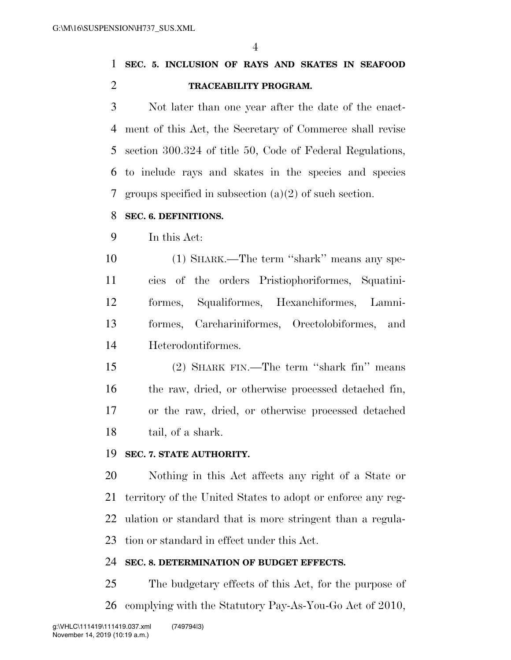**SEC. 5. INCLUSION OF RAYS AND SKATES IN SEAFOOD TRACEABILITY PROGRAM.** 

 Not later than one year after the date of the enact- ment of this Act, the Secretary of Commerce shall revise section 300.324 of title 50, Code of Federal Regulations, to include rays and skates in the species and species groups specified in subsection (a)(2) of such section.

### **SEC. 6. DEFINITIONS.**

In this Act:

 (1) SHARK.—The term ''shark'' means any spe- cies of the orders Pristiophoriformes, Squatini- formes, Squaliformes, Hexanchiformes, Lamni- formes, Carchariniformes, Orectolobiformes, and Heterodontiformes.

 (2) SHARK FIN.—The term ''shark fin'' means the raw, dried, or otherwise processed detached fin, or the raw, dried, or otherwise processed detached tail, of a shark.

### **SEC. 7. STATE AUTHORITY.**

 Nothing in this Act affects any right of a State or territory of the United States to adopt or enforce any reg- ulation or standard that is more stringent than a regula-tion or standard in effect under this Act.

### **SEC. 8. DETERMINATION OF BUDGET EFFECTS.**

 The budgetary effects of this Act, for the purpose of complying with the Statutory Pay-As-You-Go Act of 2010,